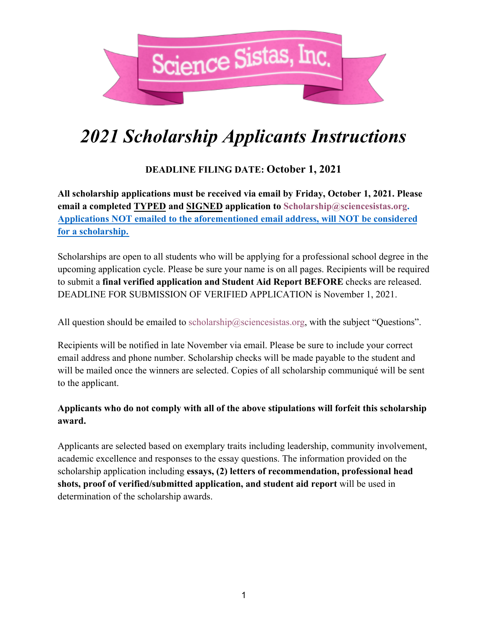

## *2021 Scholarship Applicants Instructions*

## **DEADLINE FILING DATE: October 1, 2021**

**All scholarship applications must be received via email by Friday, October 1, 2021. Please email a completed TYPED and SIGNED application to Scholarship@sciencesistas.org. Applications NOT emailed to the aforementioned email address, will NOT be considered for a scholarship.**

Scholarships are open to all students who will be applying for a professional school degree in the upcoming application cycle. Please be sure your name is on all pages. Recipients will be required to submit a **final verified application and Student Aid Report BEFORE** checks are released. DEADLINE FOR SUBMISSION OF VERIFIED APPLICATION is November 1, 2021.

All question should be emailed to scholarship@sciencesistas.org, with the subject "Questions".

Recipients will be notified in late November via email. Please be sure to include your correct email address and phone number. Scholarship checks will be made payable to the student and will be mailed once the winners are selected. Copies of all scholarship communiqué will be sent to the applicant.

## **Applicants who do not comply with all of the above stipulations will forfeit this scholarship award.**

Applicants are selected based on exemplary traits including leadership, community involvement, academic excellence and responses to the essay questions. The information provided on the scholarship application including **essays, (2) letters of recommendation, professional head shots, proof of verified/submitted application, and student aid report** will be used in determination of the scholarship awards.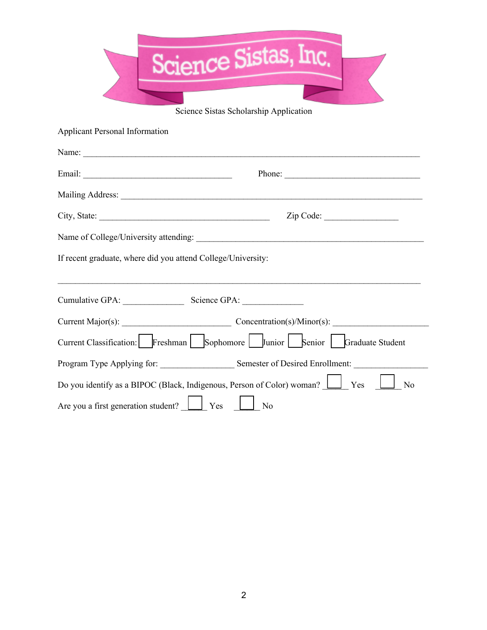| Science Sistas, Inc.                  |  |
|---------------------------------------|--|
|                                       |  |
|                                       |  |
|                                       |  |
| Saianga Sistes Sahalambin Annliastian |  |

Science Sistas Scholarship Application

Applicant Personal Information

| Name:                                                                                                 |        |  |  |  |
|-------------------------------------------------------------------------------------------------------|--------|--|--|--|
|                                                                                                       | Phone: |  |  |  |
|                                                                                                       |        |  |  |  |
|                                                                                                       |        |  |  |  |
|                                                                                                       |        |  |  |  |
| If recent graduate, where did you attend College/University:                                          |        |  |  |  |
|                                                                                                       |        |  |  |  |
|                                                                                                       |        |  |  |  |
| Current Major(s): Current Major(s):                                                                   |        |  |  |  |
| Current Classification: Freshman Sophomore Junior Senior Graduate Student                             |        |  |  |  |
| Program Type Applying for: Semester of Desired Enrollment:                                            |        |  |  |  |
| Do you identify as a BIPOC (Black, Indigenous, Person of Color) woman? <u>U</u> Yes<br>N <sub>o</sub> |        |  |  |  |
| Are you a first generation student? Ves                                                               | No     |  |  |  |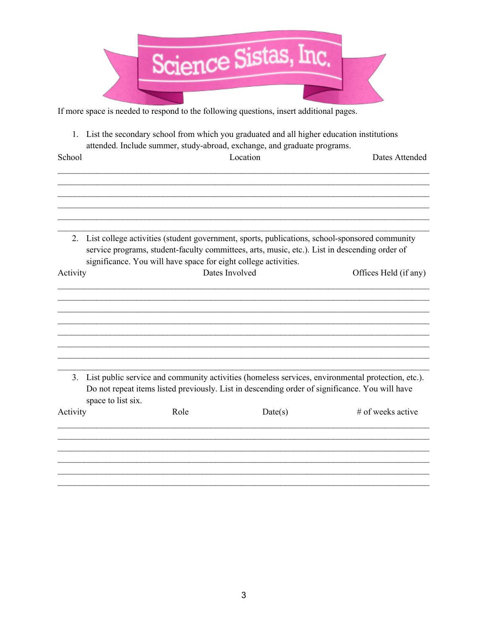

If more space is needed to respond to the following questions, insert additional pages.

1. List the secondary school from which you graduated and all higher education institutions attended. Include summer, study-abroad, exchange, and graduate programs.

| School   |                    | Location                                                                                                                                                                                                                                                          |         | Dates Attended                                                                                    |
|----------|--------------------|-------------------------------------------------------------------------------------------------------------------------------------------------------------------------------------------------------------------------------------------------------------------|---------|---------------------------------------------------------------------------------------------------|
|          |                    |                                                                                                                                                                                                                                                                   |         |                                                                                                   |
|          |                    |                                                                                                                                                                                                                                                                   |         |                                                                                                   |
| 2.       |                    | List college activities (student government, sports, publications, school-sponsored community<br>service programs, student-faculty committees, arts, music, etc.). List in descending order of<br>significance. You will have space for eight college activities. |         |                                                                                                   |
| Activity |                    | Dates Involved                                                                                                                                                                                                                                                    |         | Offices Held (if any)                                                                             |
|          |                    |                                                                                                                                                                                                                                                                   |         |                                                                                                   |
|          |                    |                                                                                                                                                                                                                                                                   |         |                                                                                                   |
| 3.       |                    |                                                                                                                                                                                                                                                                   |         | List public service and community activities (homeless services, environmental protection, etc.). |
|          | space to list six. | Do not repeat items listed previously. List in descending order of significance. You will have                                                                                                                                                                    |         |                                                                                                   |
| Activity |                    | Role                                                                                                                                                                                                                                                              | Date(s) | # of weeks active                                                                                 |
|          |                    |                                                                                                                                                                                                                                                                   |         |                                                                                                   |
|          |                    |                                                                                                                                                                                                                                                                   |         |                                                                                                   |
|          |                    |                                                                                                                                                                                                                                                                   |         |                                                                                                   |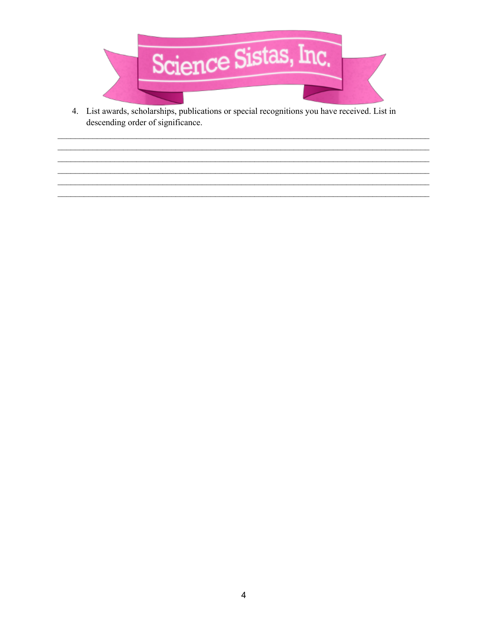

4. List awards, scholarships, publications or special recognitions you have received. List in descending order of significance.